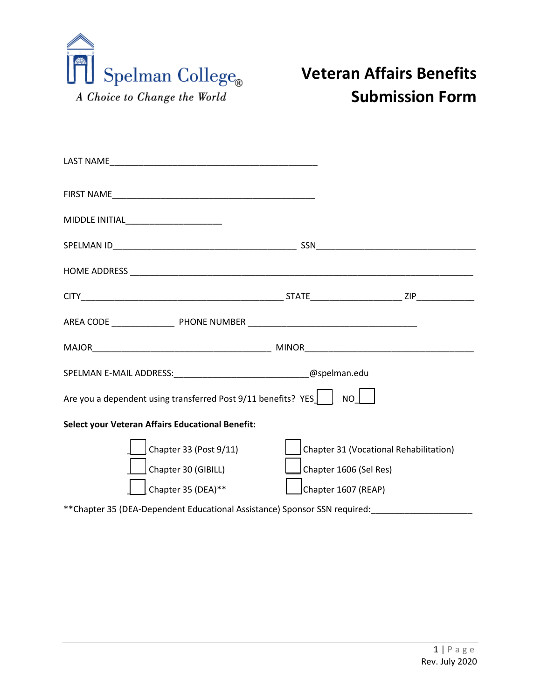

## **Veteran Affairs Benefits Submission Form**

| MIDDLE INITIAL______________________                                      |                        |                                        |
|---------------------------------------------------------------------------|------------------------|----------------------------------------|
|                                                                           |                        |                                        |
|                                                                           |                        |                                        |
|                                                                           |                        |                                        |
|                                                                           |                        |                                        |
|                                                                           |                        |                                        |
| SPELMAN E-MAIL ADDRESS: _________________________________@spelman.edu     |                        |                                        |
| Are you a dependent using transferred Post 9/11 benefits? YES             | NO I                   |                                        |
| Select your Veteran Affairs Educational Benefit:                          |                        |                                        |
| Chapter 33 (Post 9/11)                                                    |                        | Chapter 31 (Vocational Rehabilitation) |
| Chapter 30 (GIBILL)                                                       | Chapter 1606 (Sel Res) |                                        |
| Chapter 35 (DEA)**                                                        | Chapter 1607 (REAP)    |                                        |
| **Chapter 35 (DEA-Dependent Educational Assistance) Sponsor SSN required: |                        |                                        |
|                                                                           |                        |                                        |
|                                                                           |                        |                                        |
|                                                                           |                        |                                        |
|                                                                           |                        |                                        |
|                                                                           |                        |                                        |
|                                                                           |                        |                                        |
|                                                                           |                        | $1   P \text{age}$                     |